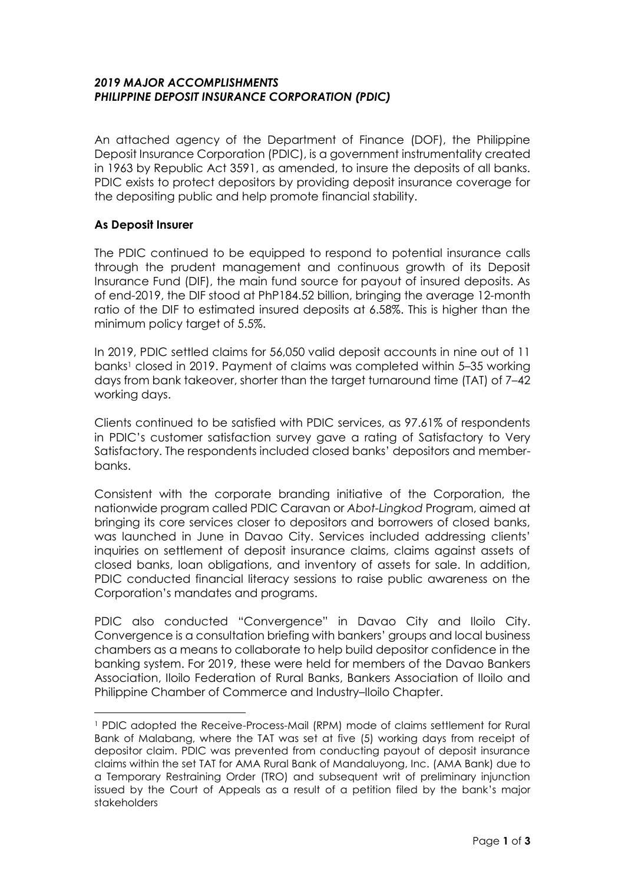### *2019 MAJOR ACCOMPLISHMENTS PHILIPPINE DEPOSIT INSURANCE CORPORATION (PDIC)*

An attached agency of the Department of Finance (DOF), the Philippine Deposit Insurance Corporation (PDIC), is a government instrumentality created in 1963 by Republic Act 3591, as amended, to insure the deposits of all banks. PDIC exists to protect depositors by providing deposit insurance coverage for the depositing public and help promote financial stability.

# **As Deposit Insurer**

 $\overline{a}$ 

The PDIC continued to be equipped to respond to potential insurance calls through the prudent management and continuous growth of its Deposit Insurance Fund (DIF), the main fund source for payout of insured deposits. As of end-2019, the DIF stood at PhP184.52 billion, bringing the average 12-month ratio of the DIF to estimated insured deposits at 6.58%. This is higher than the minimum policy target of 5.5%.

In 2019, PDIC settled claims for 56,050 valid deposit accounts in nine out of 11 banks<sup>1</sup> closed in 2019. Payment of claims was completed within 5–35 working days from bank takeover, shorter than the target turnaround time (TAT) of 7–42 working days.

Clients continued to be satisfied with PDIC services, as 97.61% of respondents in PDIC's customer satisfaction survey gave a rating of Satisfactory to Very Satisfactory. The respondents included closed banks' depositors and memberbanks.

Consistent with the corporate branding initiative of the Corporation, the nationwide program called PDIC Caravan or *Abot-Lingkod* Program, aimed at bringing its core services closer to depositors and borrowers of closed banks, was launched in June in Davao City. Services included addressing clients' inquiries on settlement of deposit insurance claims, claims against assets of closed banks, loan obligations, and inventory of assets for sale. In addition, PDIC conducted financial literacy sessions to raise public awareness on the Corporation's mandates and programs.

PDIC also conducted "Convergence" in Davao City and Iloilo City. Convergence is a consultation briefing with bankers' groups and local business chambers as a means to collaborate to help build depositor confidence in the banking system. For 2019, these were held for members of the Davao Bankers Association, Iloilo Federation of Rural Banks, Bankers Association of Iloilo and Philippine Chamber of Commerce and Industry–Iloilo Chapter.

<sup>1</sup> PDIC adopted the Receive-Process-Mail (RPM) mode of claims settlement for Rural Bank of Malabang, where the TAT was set at five (5) working days from receipt of depositor claim. PDIC was prevented from conducting payout of deposit insurance claims within the set TAT for AMA Rural Bank of Mandaluyong, Inc. (AMA Bank) due to a Temporary Restraining Order (TRO) and subsequent writ of preliminary injunction issued by the Court of Appeals as a result of a petition filed by the bank's major stakeholders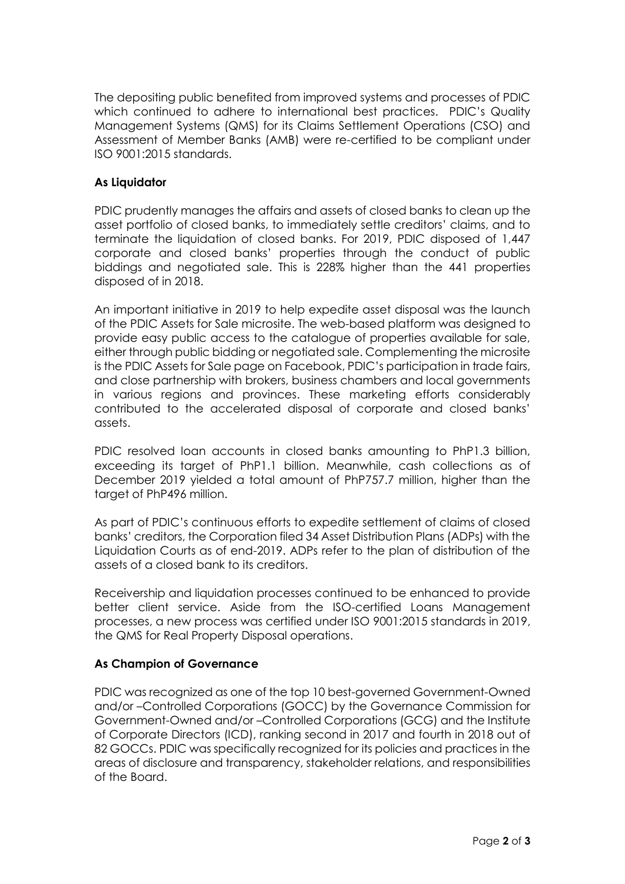The depositing public benefited from improved systems and processes of PDIC which continued to adhere to international best practices. PDIC's Quality Management Systems (QMS) for its Claims Settlement Operations (CSO) and Assessment of Member Banks (AMB) were re-certified to be compliant under ISO 9001:2015 standards.

# **As Liquidator**

PDIC prudently manages the affairs and assets of closed banks to clean up the asset portfolio of closed banks, to immediately settle creditors' claims, and to terminate the liquidation of closed banks. For 2019, PDIC disposed of 1,447 corporate and closed banks' properties through the conduct of public biddings and negotiated sale. This is 228% higher than the 441 properties disposed of in 2018.

An important initiative in 2019 to help expedite asset disposal was the launch of the PDIC Assets for Sale microsite. The web-based platform was designed to provide easy public access to the catalogue of properties available for sale, either through public bidding or negotiated sale. Complementing the microsite is the PDIC Assets for Sale page on Facebook, PDIC's participation in trade fairs, and close partnership with brokers, business chambers and local governments in various regions and provinces. These marketing efforts considerably contributed to the accelerated disposal of corporate and closed banks' assets.

PDIC resolved loan accounts in closed banks amounting to PhP1.3 billion, exceeding its target of PhP1.1 billion. Meanwhile, cash collections as of December 2019 yielded a total amount of PhP757.7 million, higher than the target of PhP496 million.

As part of PDIC's continuous efforts to expedite settlement of claims of closed banks' creditors, the Corporation filed 34 Asset Distribution Plans (ADPs) with the Liquidation Courts as of end-2019. ADPs refer to the plan of distribution of the assets of a closed bank to its creditors.

Receivership and liquidation processes continued to be enhanced to provide better client service. Aside from the ISO-certified Loans Management processes, a new process was certified under ISO 9001:2015 standards in 2019, the QMS for Real Property Disposal operations.

# **As Champion of Governance**

PDIC was recognized as one of the top 10 best-governed Government-Owned and/or –Controlled Corporations (GOCC) by the Governance Commission for Government-Owned and/or –Controlled Corporations (GCG) and the Institute of Corporate Directors (ICD), ranking second in 2017 and fourth in 2018 out of 82 GOCCs. PDIC was specifically recognized for its policies and practices in the areas of disclosure and transparency, stakeholder relations, and responsibilities of the Board.